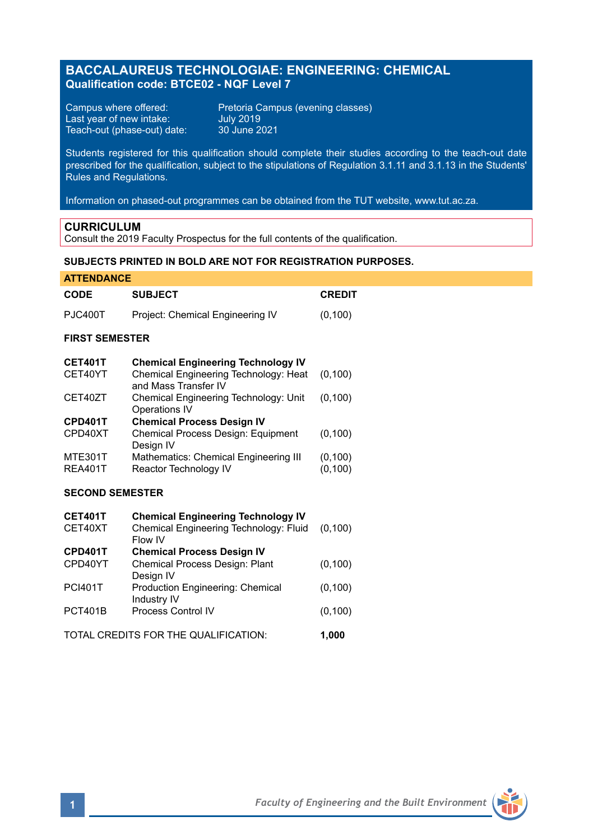# **BACCALAUREUS TECHNOLOGIAE: ENGINEERING: CHEMICAL Qualification code: BTCE02 - NQF Level 7**

Last year of new intake: July 2019 Teach-out (phase-out) date: 30 June 2021

Campus where offered: Pretoria Campus (evening classes)<br>
Last year of new intake: July 2019<br>
Teach-out (phase-out) date: 30 June 2021

Students registered for this qualification should complete their studies according to the teach-out date prescribed for the qualification, subject to the stipulations of Regulation 3.1.11 and 3.1.13 in the Students' Rules and Regulations.

Information on phased-out programmes can be obtained from the TUT website, www.tut.ac.za.

## **CURRICULUM**

Consult the 2019 Faculty Prospectus for the full contents of the qualification.

# **SUBJECTS PRINTED IN BOLD ARE NOT FOR REGISTRATION PURPOSES.**

| <b>ATTENDANCE</b>                    |                                                               |               |
|--------------------------------------|---------------------------------------------------------------|---------------|
| <b>CODE</b>                          | <b>SUBJECT</b>                                                | <b>CREDIT</b> |
| <b>PJC400T</b>                       | Project: Chemical Engineering IV                              | (0, 100)      |
| <b>FIRST SEMESTER</b>                |                                                               |               |
| <b>CET401T</b>                       | <b>Chemical Engineering Technology IV</b>                     |               |
| CET40YT                              | Chemical Engineering Technology: Heat<br>and Mass Transfer IV | (0, 100)      |
| CET40ZT                              | Chemical Engineering Technology: Unit<br>Operations IV        | (0, 100)      |
| CPD401T                              | <b>Chemical Process Design IV</b>                             |               |
| CPD40XT                              | Chemical Process Design: Equipment<br>Design IV               | (0, 100)      |
| <b>MTE301T</b>                       | Mathematics: Chemical Engineering III                         | (0, 100)      |
| <b>REA401T</b>                       | Reactor Technology IV                                         | (0, 100)      |
| <b>SECOND SEMESTER</b>               |                                                               |               |
| <b>CET401T</b>                       | <b>Chemical Engineering Technology IV</b>                     |               |
| CET40XT                              | Chemical Engineering Technology: Fluid<br>Flow IV             | (0, 100)      |
| CPD401T                              | <b>Chemical Process Design IV</b>                             |               |
| CPD40YT                              | Chemical Process Design: Plant<br>Design IV                   | (0, 100)      |
| <b>PCI401T</b>                       | Production Engineering: Chemical<br>Industry IV               | (0, 100)      |
| <b>PCT401B</b>                       | Process Control IV                                            | (0, 100)      |
| TOTAL CREDITS FOR THE QUALIFICATION: |                                                               | 1,000         |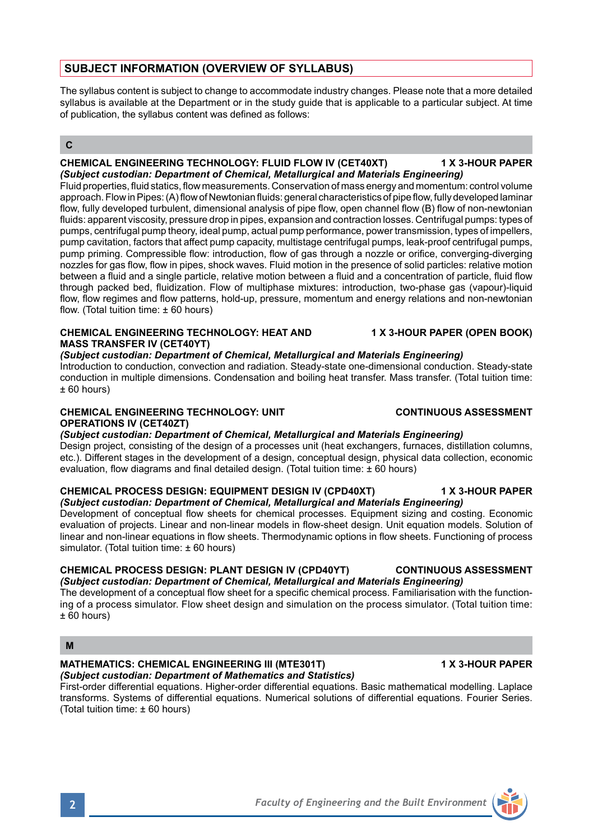# **SUBJECT INFORMATION (OVERVIEW OF SYLLABUS)**

The syllabus content is subject to change to accommodate industry changes. Please note that a more detailed syllabus is available at the Department or in the study guide that is applicable to a particular subject. At time of publication, the syllabus content was defined as follows:

## **C**

#### **CHEMICAL ENGINEERING TECHNOLOGY: FLUID FLOW IV (CET40XT) 1 X 3-HOUR PAPER** *(Subject custodian: Department of Chemical, Metallurgical and Materials Engineering)*

Fluid properties, fluid statics, flow measurements. Conservation of mass energy and momentum: control volume approach. Flow in Pipes: (A) flow of Newtonian fluids: general characteristics of pipe flow, fully developed laminar flow, fully developed turbulent, dimensional analysis of pipe flow, open channel flow (B) flow of non-newtonian fluids: apparent viscosity, pressure drop in pipes, expansion and contraction losses. Centrifugal pumps: types of pumps, centrifugal pump theory, ideal pump, actual pump performance, power transmission, types of impellers, pump cavitation, factors that affect pump capacity, multistage centrifugal pumps, leak-proof centrifugal pumps, pump priming. Compressible flow: introduction, flow of gas through a nozzle or orifice, converging-diverging nozzles for gas flow, flow in pipes, shock waves. Fluid motion in the presence of solid particles: relative motion between a fluid and a single particle, relative motion between a fluid and a concentration of particle, fluid flow through packed bed, fluidization. Flow of multiphase mixtures: introduction, two-phase gas (vapour)-liquid flow, flow regimes and flow patterns, hold-up, pressure, momentum and energy relations and non-newtonian flow. (Total tuition time:  $\pm 60$  hours)

## **CHEMICAL ENGINEERING TECHNOLOGY: HEAT AND 1 X 3-HOUR PAPER (OPEN BOOK) MASS TRANSFER IV (CET40YT)**

## *(Subject custodian: Department of Chemical, Metallurgical and Materials Engineering)*

Introduction to conduction, convection and radiation. Steady-state one-dimensional conduction. Steady-state conduction in multiple dimensions. Condensation and boiling heat transfer. Mass transfer. (Total tuition time:  $± 60$  hours)

# **CHEMICAL ENGINEERING TECHNOLOGY: UNIT CONTINUOUS ASSESSMENT OPERATIONS IV (CET40ZT)**

## *(Subject custodian: Department of Chemical, Metallurgical and Materials Engineering)*

Design project, consisting of the design of a processes unit (heat exchangers, furnaces, distillation columns, etc.). Different stages in the development of a design, conceptual design, physical data collection, economic evaluation, flow diagrams and final detailed design. (Total tuition time: ± 60 hours)

#### **CHEMICAL PROCESS DESIGN: EQUIPMENT DESIGN IV (CPD40XT) 1 X 3-HOUR PAPER** *(Subject custodian: Department of Chemical, Metallurgical and Materials Engineering)*

Development of conceptual flow sheets for chemical processes. Equipment sizing and costing. Economic evaluation of projects. Linear and non-linear models in flow-sheet design. Unit equation models. Solution of linear and non-linear equations in flow sheets. Thermodynamic options in flow sheets. Functioning of process simulator. (Total tuition time: ± 60 hours)

## **CHEMICAL PROCESS DESIGN: PLANT DESIGN IV (CPD40YT) CONTINUOUS ASSESSMENT** *(Subject custodian: Department of Chemical, Metallurgical and Materials Engineering)*

The development of a conceptual flow sheet for a specific chemical process. Familiarisation with the functioning of a process simulator. Flow sheet design and simulation on the process simulator. (Total tuition time:  $± 60$  hours)

## **M**

#### **MATHEMATICS: CHEMICAL ENGINEERING III (MTE301T) 1 X 3-HOUR PAPER** *(Subject custodian: Department of Mathematics and Statistics)*

First-order differential equations. Higher-order differential equations. Basic mathematical modelling. Laplace transforms. Systems of differential equations. Numerical solutions of differential equations. Fourier Series. (Total tuition time: ± 60 hours)